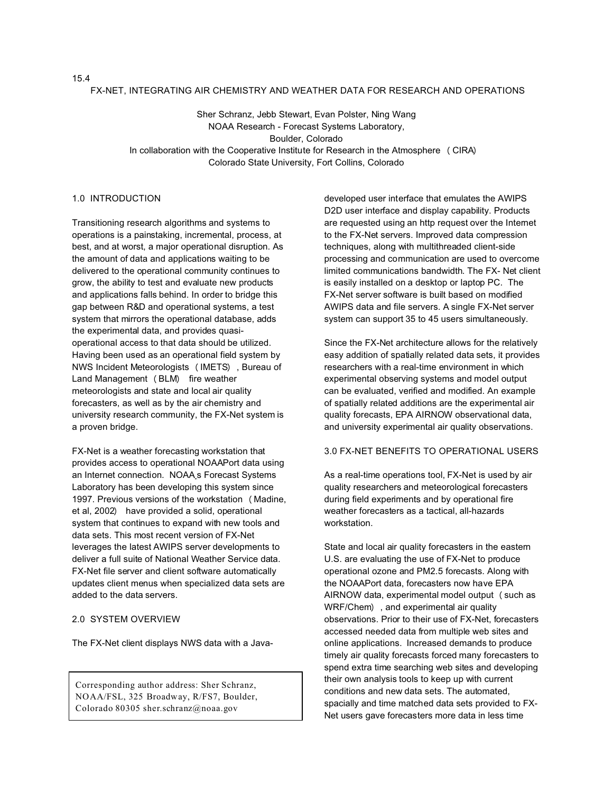#### FX-NET, INTEGRATING AIR CHEMISTRY AND WEATHER DATA FOR RESEARCH AND OPERATIONS

Sher Schranz, Jebb Stewart, Evan Polster, Ning Wang NOAA Research - Forecast Systems Laboratory, Boulder, Colorado In collaboration with the Cooperative Institute for Research in the Atmosphere (CIRA) Colorado State University, Fort Collins, Colorado

# 1.0 INTRODUCTION

Transitioning research algorithms and systems to operations is a painstaking, incremental, process, at best, and at worst, a major operational disruption. As the amount of data and applications waiting to be delivered to the operational community continues to grow, the ability to test and evaluate new products and applications falls behind. In order to bridge this gap between R&D and operational systems, a test system that mirrors the operational database, adds the experimental data, and provides quasioperational access to that data should be utilized. Having been used as an operational field system by NWS Incident Meteorologists (IMETS), Bureau of Land Management (BLM) fire weather meteorologists and state and local air quality forecasters, as well as by the air chemistry and university research community, the FX-Net system is a proven bridge.

FX-Net is a weather forecasting workstation that provides access to operational NOAAPort data using an Internet connection. NOAA's Forecast Systems Laboratory has been developing this system since 1997. Previous versions of the workstation (Madine, et al, 2002) have provided a solid, operational system that continues to expand with new tools and data sets. This most recent version of FX-Net leverages the latest AWIPS server developments to deliver a full suite of National Weather Service data. FX-Net file server and client software automatically updates client menus when specialized data sets are added to the data servers.

# 2.0 SYSTEM OVERVIEW

The FX-Net client displays NWS data with a Java-

Corresponding author address: Sher Schranz, NOAA/FSL, 325 Broadway, R/FS7, Boulder, Colorado 80305 sher.schranz@noaa.gov

developed user interface that emulates the AWIPS D2D user interface and display capability. Products are requested using an http request over the Internet to the FX-Net servers. Improved data compression techniques, along with multithreaded client-side processing and communication are used to overcome limited communications bandwidth. The FX- Net client is easily installed on a desktop or laptop PC. The FX-Net server software is built based on modified AWIPS data and file servers. A single FX-Net server system can support 35 to 45 users simultaneously.

Since the FX-Net architecture allows for the relatively easy addition of spatially related data sets, it provides researchers with a real-time environment in which experimental observing systems and model output can be evaluated, verified and modified. An example of spatially related additions are the experimental air quality forecasts, EPA AIRNOW observational data, and university experimental air quality observations.

# 3.0 FX-NET BENEFITS TO OPERATIONAL USERS

As a real-time operations tool, FX-Net is used by air quality researchers and meteorological forecasters during field experiments and by operational fire weather forecasters as a tactical, all-hazards workstation.

State and local air quality forecasters in the eastem U.S. are evaluating the use of FX-Net to produce operational ozone and PM2.5 forecasts. Along with the NOAAPort data, forecasters now have EPA AIRNOW data, experimental model output (such as WRF/Chem), and experimental air quality observations. Prior to their use of FX-Net, forecasters accessed needed data from multiple web sites and online applications. Increased demands to produce timely air quality forecasts forced many forecasters to spend extra time searching web sites and developing their own analysis tools to keep up with current conditions and new data sets. The automated, spacially and time matched data sets provided to FX-Net users gave forecasters more data in less time

## 15.4